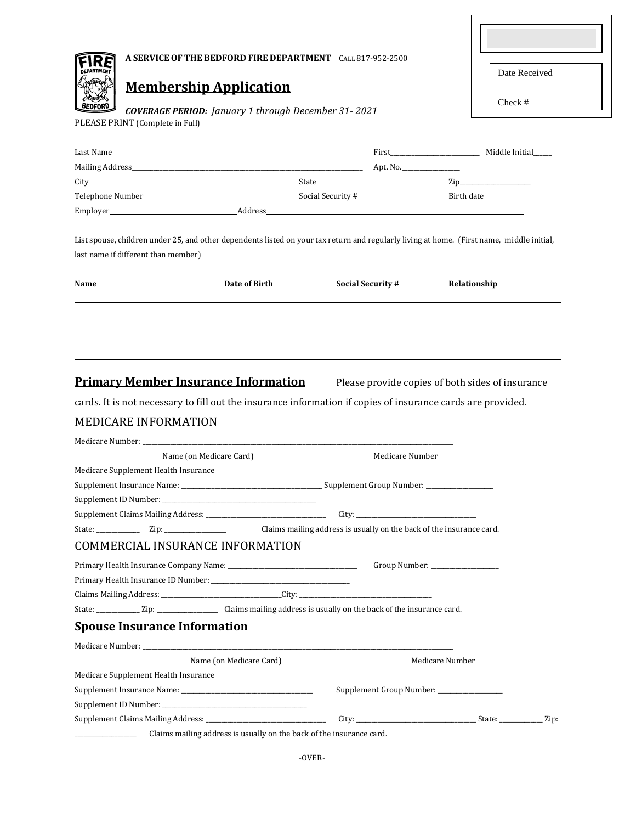| A SERVICE OF THE BEDFORD FIRE DEPARTMENT CALL 817-952-2500                                                                                                                                                                                                                         |                         |                                           |                 |
|------------------------------------------------------------------------------------------------------------------------------------------------------------------------------------------------------------------------------------------------------------------------------------|-------------------------|-------------------------------------------|-----------------|
| <b>DEPARTMENT</b><br><b>Membership Application</b>                                                                                                                                                                                                                                 |                         |                                           | Date Received   |
|                                                                                                                                                                                                                                                                                    |                         |                                           | Check #         |
| <b>COVERAGE PERIOD:</b> January 1 through December 31-2021<br>PLEASE PRINT (Complete in Full)                                                                                                                                                                                      |                         |                                           |                 |
|                                                                                                                                                                                                                                                                                    |                         |                                           |                 |
|                                                                                                                                                                                                                                                                                    |                         |                                           |                 |
|                                                                                                                                                                                                                                                                                    |                         |                                           |                 |
|                                                                                                                                                                                                                                                                                    |                         |                                           |                 |
|                                                                                                                                                                                                                                                                                    |                         |                                           |                 |
|                                                                                                                                                                                                                                                                                    |                         |                                           |                 |
| last name if different than member)<br>Name                                                                                                                                                                                                                                        | Date of Birth           | <b>Social Security #</b>                  | Relationship    |
|                                                                                                                                                                                                                                                                                    |                         |                                           |                 |
|                                                                                                                                                                                                                                                                                    |                         |                                           |                 |
| Name (on Medicare Card)                                                                                                                                                                                                                                                            |                         | Medicare Number                           |                 |
| <b>Primary Member Insurance Information</b> Please provide copies of both sides of insurance<br>cards. It is not necessary to fill out the insurance information if copies of insurance cards are provided.<br><b>MEDICARE INFORMATION</b><br>Medicare Supplement Health Insurance |                         |                                           |                 |
|                                                                                                                                                                                                                                                                                    |                         |                                           |                 |
|                                                                                                                                                                                                                                                                                    |                         | City:                                     |                 |
| <b>COMMERCIAL INSURANCE INFORMATION</b>                                                                                                                                                                                                                                            |                         |                                           |                 |
|                                                                                                                                                                                                                                                                                    |                         |                                           |                 |
|                                                                                                                                                                                                                                                                                    |                         |                                           |                 |
|                                                                                                                                                                                                                                                                                    |                         |                                           |                 |
| State: Zip: Zip: Claims mailing address is usually on the back of the insurance card.                                                                                                                                                                                              |                         |                                           |                 |
| <b>Spouse Insurance Information</b>                                                                                                                                                                                                                                                |                         |                                           |                 |
|                                                                                                                                                                                                                                                                                    |                         |                                           |                 |
|                                                                                                                                                                                                                                                                                    | Name (on Medicare Card) |                                           | Medicare Number |
| Medicare Supplement Health Insurance                                                                                                                                                                                                                                               |                         |                                           |                 |
|                                                                                                                                                                                                                                                                                    |                         | Supplement Group Number: ________________ |                 |
|                                                                                                                                                                                                                                                                                    |                         |                                           |                 |